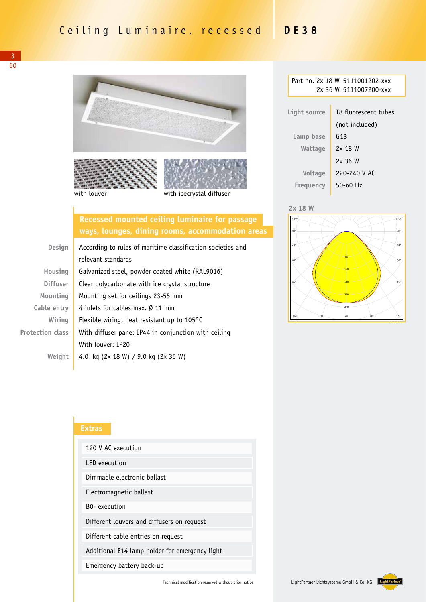

## **Recessed mounted ceiling luminaire for passage ways, lounges, dining rooms, accommodation areas**

| <b>Design</b>           | According to rules of maritime classification societies and |  |  |
|-------------------------|-------------------------------------------------------------|--|--|
|                         | relevant standards                                          |  |  |
| Housing                 | Galvanized steel, powder coated white (RAL9016)             |  |  |
| <b>Diffuser</b>         | Clear polycarbonate with ice crystal structure              |  |  |
| Mounting                | Mounting set for ceilings 23-55 mm                          |  |  |
| Cable entry             | 4 inlets for cables max. Ø 11 mm                            |  |  |
| Wiring                  | Flexible wiring, heat resistant up to $105^{\circ}$ C       |  |  |
| <b>Protection class</b> | With diffuser pane: IP44 in conjunction with ceiling        |  |  |
|                         | With louver: IP20                                           |  |  |
| Weiaht                  | 4.0 kg (2x 18 W) / 9.0 kg (2x 36 W)                         |  |  |

| Part no. 2x 18 W 5111001202-xxx |                        |  |  |  |
|---------------------------------|------------------------|--|--|--|
|                                 | 2x 36 W 5111007200-xxx |  |  |  |
|                                 |                        |  |  |  |
| Light source                    | T8 fluorescent tubes   |  |  |  |
|                                 | (not included)         |  |  |  |
| Lamp base                       | G <sub>13</sub>        |  |  |  |
| Wattage                         | 2x 18 W                |  |  |  |
|                                 | 2x36W                  |  |  |  |
| <b>Voltage</b>                  | 220-240 V AC           |  |  |  |
| Freguency                       | $50 - 60$ Hz           |  |  |  |

**Lightpartner @EULUMDAT LMT LICHTMESSTECHNIK BERLIN Version 11 51110012...** 





## **Extras**

| 120 V AC execution                             |  |  |
|------------------------------------------------|--|--|
| <b>IFD</b> execution                           |  |  |
| Dimmable electronic ballast                    |  |  |
| Electromagnetic ballast                        |  |  |
| <b>BO-</b> execution                           |  |  |
| Different louvers and diffusers on request     |  |  |
| Different cable entries on request             |  |  |
| Additional E14 lamp holder for emergency light |  |  |
| Emergency battery back-up                      |  |  |